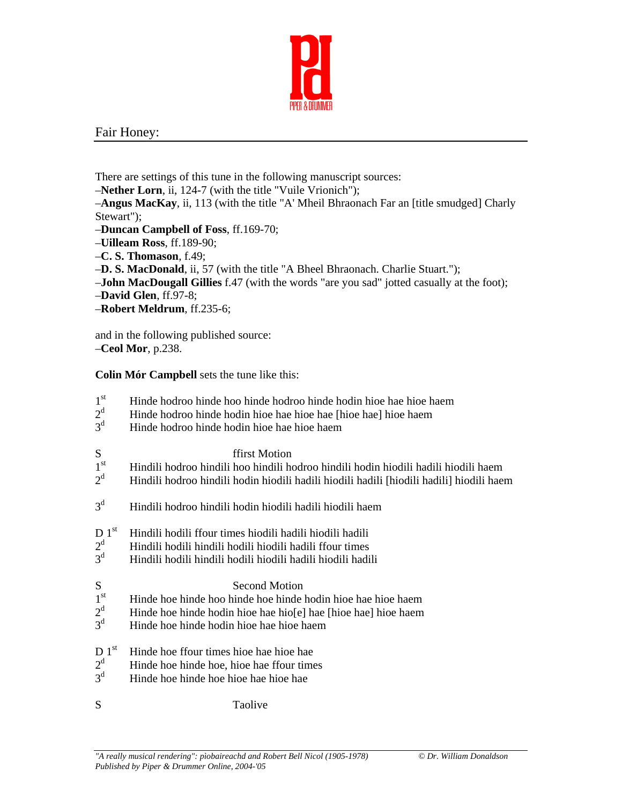

## Fair Honey:

There are settings of this tune in the following manuscript sources:

–**Nether Lorn**, ii, 124-7 (with the title "Vuile Vrionich");

–**Angus MacKay**, ii, 113 (with the title "A' Mheil Bhraonach Far an [title smudged] Charly Stewart");

- –**Duncan Campbell of Foss**, ff.169-70;
- –**Uilleam Ross**, ff.189-90;
- –**C. S. Thomason**, f.49;
- –**D. S. MacDonald**, ii, 57 (with the title "A Bheel Bhraonach. Charlie Stuart.");
- –**John MacDougall Gillies** f.47 (with the words "are you sad" jotted casually at the foot);
- –**David Glen**, ff.97-8;
- –**Robert Meldrum**, ff.235-6;

and in the following published source: –**Ceol Mor**, p.238.

**Colin Mór Campbell** sets the tune like this:

- 1<sup>st</sup> Hinde hodroo hinde hoo hinde hodroo hinde hodin hioe hae hioe haem
- $2^d$ Hinde hodroo hinde hodin hioe hae hioe hae [hioe hae] hioe haem
- $3<sup>d</sup>$ Hinde hodroo hinde hodin hioe hae hioe haem
- 

- $S$  ffirst Motion<br> $I<sup>st</sup>$  Hindili hodroo hindili hoo hindili ho 1st Hindili hodroo hindili hoo hindili hodroo hindili hodin hiodili hadili hiodili haem
- $2^d$ Hindili hodroo hindili hodin hiodili hadili hiodili hadili [hiodili hadili] hiodili haem
- $3<sup>d</sup>$ Hindili hodroo hindili hodin hiodili hadili hiodili haem
- D 1<sup>st</sup> Hindili hodili ffour times hiodili hadili hadili hadili
- $2^d$ Hindili hodili hindili hodili hiodili hadili ffour times
- $3<sup>d</sup>$  Hindili hodili hindili hodili hiodili hadili hiodili hadili
	-
- $S$  Second Motion<br>1<sup>st</sup> Hinde hoe hinde hoe hinde hoe hinde Hinde hoe hinde hoo hinde hoe hinde hodin hioe hae hioe haem
- $2^d$ Hinde hoe hinde hodin hioe hae hio[e] hae [hioe hae] hioe haem
- $3<sup>d</sup>$ Hinde hoe hinde hodin hioe hae hioe haem
- $D 1<sup>st</sup>$  Hinde hoe ffour times hioe hae hioe hae
- $2<sup>d</sup>$ Hinde hoe hinde hoe, hioe hae ffour times
- $3<sup>d</sup>$ Hinde hoe hinde hoe hioe hae hioe hae
- S Taolive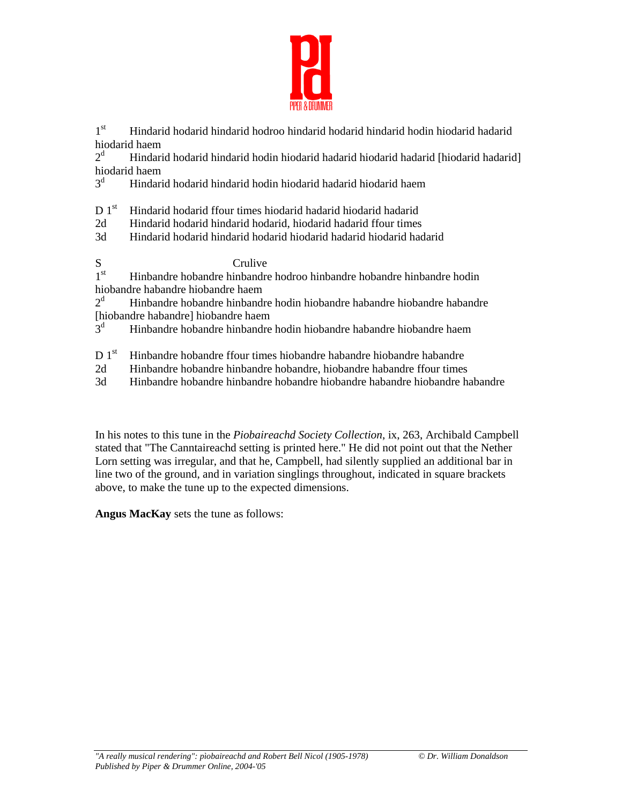

1st Hindarid hodarid hindarid hodroo hindarid hodarid hindarid hodin hiodarid hadarid hiodarid haem

 $2<sup>d</sup>$  Hindarid hodarid hindarid hodin hiodarid hadarid hiodarid hadarid [hiodarid hadarid] hiodarid haem

3d Hindarid hodarid hindarid hodin hiodarid hadarid hiodarid haem

D 1<sup>st</sup> Hindarid hodarid ffour times hiodarid hadarid hadarid hadarid

- 2d Hindarid hodarid hindarid hodarid, hiodarid hadarid ffour times
- 3d Hindarid hodarid hindarid hodarid hiodarid hadarid hiodarid hadarid

 $S$  Crulive<br> $I<sup>st</sup>$  Hinbandre hobandre hinbandre 1st Hinbandre hobandre hinbandre hodroo hinbandre hobandre hinbandre hodin hiobandre habandre hiobandre haem

 $2<sup>d</sup>$  Hinbandre hobandre hinbandre hodin hiobandre habandre hiobandre habandre [hiobandre habandre] hiobandre haem

 $3^d$ Hinbandre hobandre hinbandre hodin hiobandre habandre hiobandre haem

- D 1<sup>st</sup> Hinbandre hobandre ffour times hiobandre habandre habandre habandre
- 2d Hinbandre hobandre hinbandre hobandre, hiobandre habandre ffour times
- 3d Hinbandre hobandre hinbandre hobandre hiobandre habandre hiobandre habandre

In his notes to this tune in the *Piobaireachd Society Collection*, ix, 263, Archibald Campbell stated that "The Canntaireachd setting is printed here." He did not point out that the Nether Lorn setting was irregular, and that he, Campbell, had silently supplied an additional bar in line two of the ground, and in variation singlings throughout, indicated in square brackets above, to make the tune up to the expected dimensions.

**Angus MacKay** sets the tune as follows: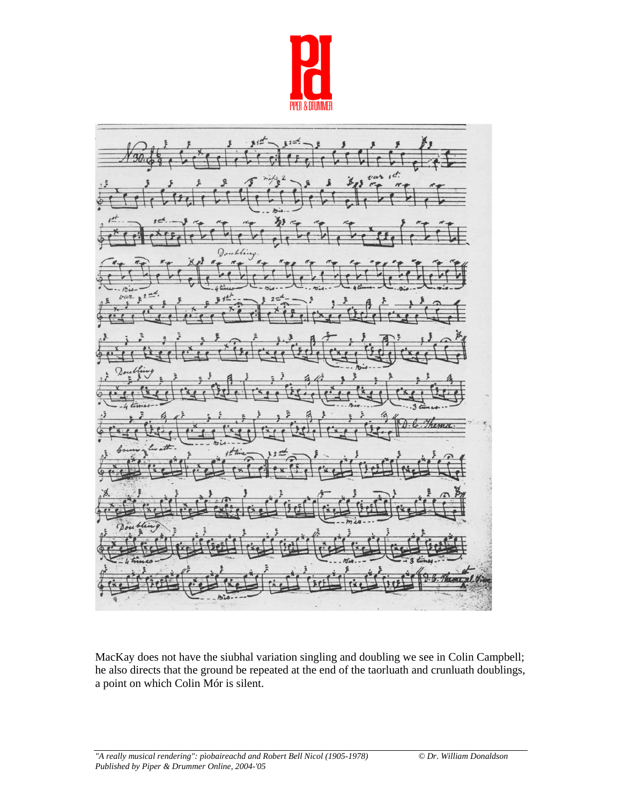



MacKay does not have the siubhal variation singling and doubling we see in Colin Campbell; he also directs that the ground be repeated at the end of the taorluath and crunluath doublings, a point on which Colin Mór is silent.